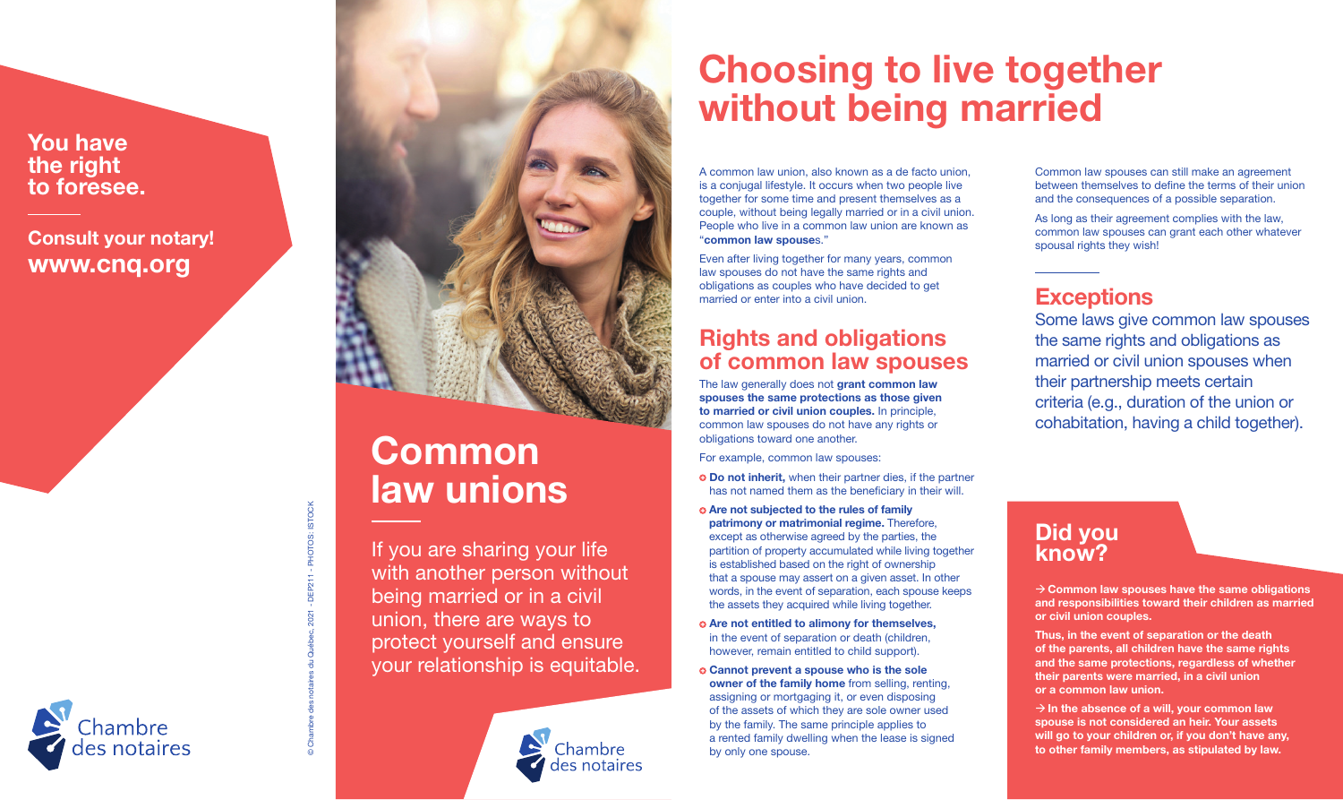You have the right to foresee.

Consult your notary! www.cnq.org

Chambre

**STOCK** © Chambre des notaires du Québec, 2021 - DEP211 - PHOTOS: ISTOCK **IOTOS:** 



# Common law unions

If you are sharing your life with another person without being married or in a civil union, there are ways to protect yourself and ensure your relationship is equitable.



# Choosing to live together without being married

A common law union, also known as a de facto union, is a conjugal lifestyle. It occurs when two people live together for some time and present themselves as a couple, without being legally married or in a civil union. People who live in a common law union are known as "common law spouses."

Even after living together for many years, common law spouses do not have the same rights and obligations as couples who have decided to get married or enter into a civil union.

### Rights and obligations of common law spouses

The law generally does not grant common law spouses the same protections as those given to married or civil union couples. In principle, common law spouses do not have any rights or obligations toward one another.

For example, common law spouses:

- **O** Do not inherit, when their partner dies, if the partner has not named them as the beneficiary in their will.
- Are not subjected to the rules of family patrimony or matrimonial regime. Therefore, except as otherwise agreed by the parties, the partition of property accumulated while living together is established based on the right of ownership that a spouse may assert on a given asset. In other words, in the event of separation, each spouse keeps the assets they acquired while living together.
- Are not entitled to alimony for themselves, in the event of separation or death (children, however, remain entitled to child support).
- Cannot prevent a spouse who is the sole owner of the family home from selling, renting, assigning or mortgaging it, or even disposing of the assets of which they are sole owner used by the family. The same principle applies to a rented family dwelling when the lease is signed by only one spouse.

Common law spouses can still make an agreement between themselves to define the terms of their union and the consequences of a possible separation.

As long as their agreement complies with the law, common law spouses can grant each other whatever spousal rights they wish!

## **Exceptions**

Some laws give common law spouses the same rights and obligations as married or civil union spouses when their partnership meets certain criteria (e.g., duration of the union or cohabitation, having a child together).

## Did you know?

 $\rightarrow$  Common law spouses have the same obligations and responsibilities toward their children as married or civil union couples.

Thus, in the event of separation or the death of the parents, all children have the same rights and the same protections, regardless of whether their parents were married, in a civil union or a common law union.

 $\rightarrow$  In the absence of a will, your common law spouse is not considered an heir. Your assets will go to your children or, if you don't have any, to other family members, as stipulated by law.